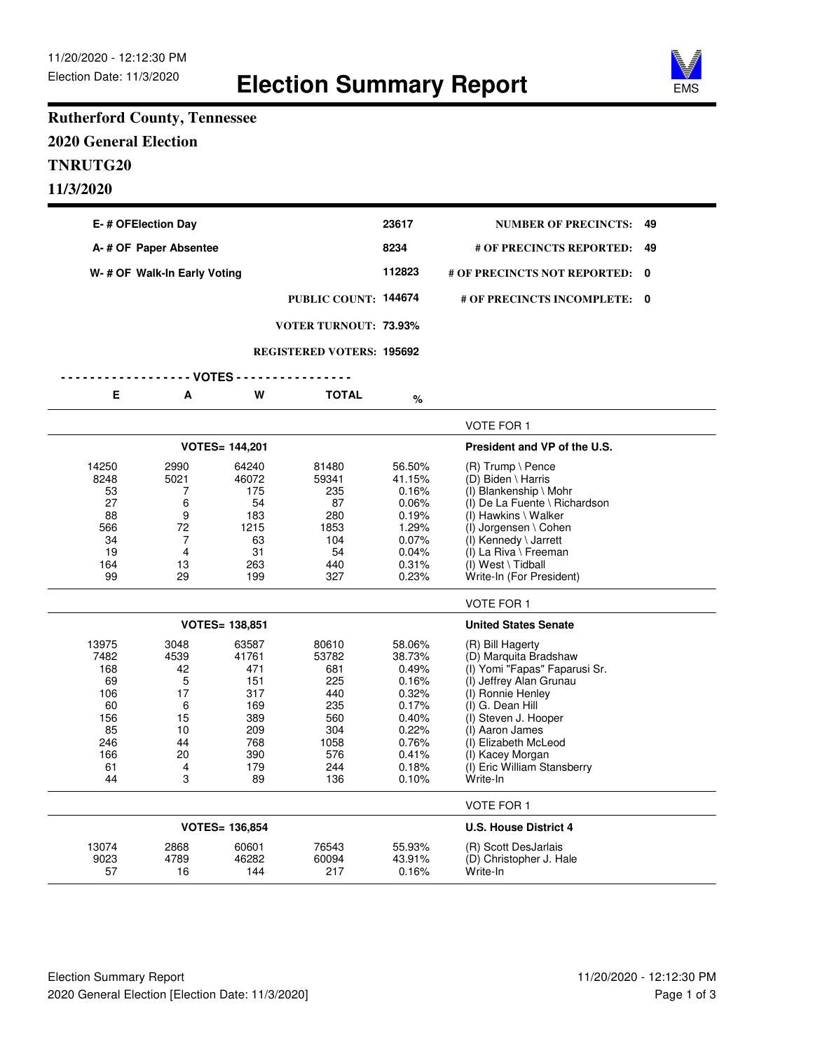

## **Rutherford County, Tennessee 2020 General Election TNRUTG20 11/3/2020**

| E-# OFElection Day                                                             |                                                                      |                                                                                     |                                                                                       | 23617                                                                                                      | <b>NUMBER OF PRECINCTS:</b>                                                                                                                                                                                                                                                      | 49      |
|--------------------------------------------------------------------------------|----------------------------------------------------------------------|-------------------------------------------------------------------------------------|---------------------------------------------------------------------------------------|------------------------------------------------------------------------------------------------------------|----------------------------------------------------------------------------------------------------------------------------------------------------------------------------------------------------------------------------------------------------------------------------------|---------|
|                                                                                | A-# OF Paper Absentee                                                |                                                                                     |                                                                                       | 8234                                                                                                       | # OF PRECINCTS REPORTED:                                                                                                                                                                                                                                                         | 49<br>0 |
|                                                                                | W-# OF Walk-In Early Voting                                          |                                                                                     |                                                                                       | 112823                                                                                                     | # OF PRECINCTS NOT REPORTED:                                                                                                                                                                                                                                                     |         |
|                                                                                |                                                                      |                                                                                     | PUBLIC COUNT: 144674                                                                  |                                                                                                            | # OF PRECINCTS INCOMPLETE: 0                                                                                                                                                                                                                                                     |         |
|                                                                                |                                                                      |                                                                                     | <b>VOTER TURNOUT: 73.93%</b>                                                          |                                                                                                            |                                                                                                                                                                                                                                                                                  |         |
|                                                                                |                                                                      |                                                                                     | <b>REGISTERED VOTERS: 195692</b>                                                      |                                                                                                            |                                                                                                                                                                                                                                                                                  |         |
|                                                                                |                                                                      | - VOTES -                                                                           |                                                                                       |                                                                                                            |                                                                                                                                                                                                                                                                                  |         |
| Е                                                                              | A                                                                    | W                                                                                   | <b>TOTAL</b>                                                                          | %                                                                                                          |                                                                                                                                                                                                                                                                                  |         |
|                                                                                |                                                                      |                                                                                     |                                                                                       |                                                                                                            | VOTE FOR 1                                                                                                                                                                                                                                                                       |         |
|                                                                                |                                                                      | <b>VOTES= 144,201</b>                                                               |                                                                                       |                                                                                                            | President and VP of the U.S.                                                                                                                                                                                                                                                     |         |
| 14250<br>8248<br>53<br>27<br>88<br>566<br>34<br>19<br>164<br>99                | 2990<br>5021<br>7<br>6<br>9<br>72<br>7<br>4<br>13<br>29              | 64240<br>46072<br>175<br>54<br>183<br>1215<br>63<br>31<br>263<br>199                | 81480<br>59341<br>235<br>87<br>280<br>1853<br>104<br>54<br>440<br>327                 | 56.50%<br>41.15%<br>0.16%<br>0.06%<br>0.19%<br>1.29%<br>0.07%<br>0.04%<br>0.31%<br>0.23%                   | $(R)$ Trump \ Pence<br>(D) Biden \ Harris<br>$(I)$ Blankenship \ Mohr<br>(I) De La Fuente \ Richardson<br>(I) Hawkins \ Walker<br>(I) Jorgensen \ Cohen<br>$(I)$ Kennedy \ Jarrett<br>(I) La Riva \ Freeman<br>$(I)$ West \ Tidball<br>Write-In (For President)                  |         |
|                                                                                |                                                                      |                                                                                     |                                                                                       |                                                                                                            | <b>VOTE FOR 1</b>                                                                                                                                                                                                                                                                |         |
|                                                                                |                                                                      | <b>VOTES= 138,851</b>                                                               |                                                                                       |                                                                                                            | <b>United States Senate</b>                                                                                                                                                                                                                                                      |         |
| 13975<br>7482<br>168<br>69<br>106<br>60<br>156<br>85<br>246<br>166<br>61<br>44 | 3048<br>4539<br>42<br>5<br>17<br>6<br>15<br>10<br>44<br>20<br>4<br>3 | 63587<br>41761<br>471<br>151<br>317<br>169<br>389<br>209<br>768<br>390<br>179<br>89 | 80610<br>53782<br>681<br>225<br>440<br>235<br>560<br>304<br>1058<br>576<br>244<br>136 | 58.06%<br>38.73%<br>0.49%<br>0.16%<br>0.32%<br>0.17%<br>0.40%<br>0.22%<br>0.76%<br>0.41%<br>0.18%<br>0.10% | (R) Bill Hagerty<br>(D) Marquita Bradshaw<br>(I) Yomi "Fapas" Faparusi Sr.<br>(I) Jeffrey Alan Grunau<br>(I) Ronnie Henley<br>(I) G. Dean Hill<br>(I) Steven J. Hooper<br>(I) Aaron James<br>(I) Elizabeth McLeod<br>(I) Kacey Morgan<br>(I) Eric William Stansberry<br>Write-In |         |
|                                                                                |                                                                      |                                                                                     |                                                                                       |                                                                                                            | <b>VOTE FOR 1</b>                                                                                                                                                                                                                                                                |         |
|                                                                                |                                                                      | <b>VOTES= 136,854</b>                                                               |                                                                                       |                                                                                                            | <b>U.S. House District 4</b>                                                                                                                                                                                                                                                     |         |
| 13074<br>9023<br>57                                                            | 2868<br>4789<br>16                                                   | 60601<br>46282<br>144                                                               | 76543<br>60094<br>217                                                                 | 55.93%<br>43.91%<br>0.16%                                                                                  | (R) Scott DesJarlais<br>(D) Christopher J. Hale<br>Write-In                                                                                                                                                                                                                      |         |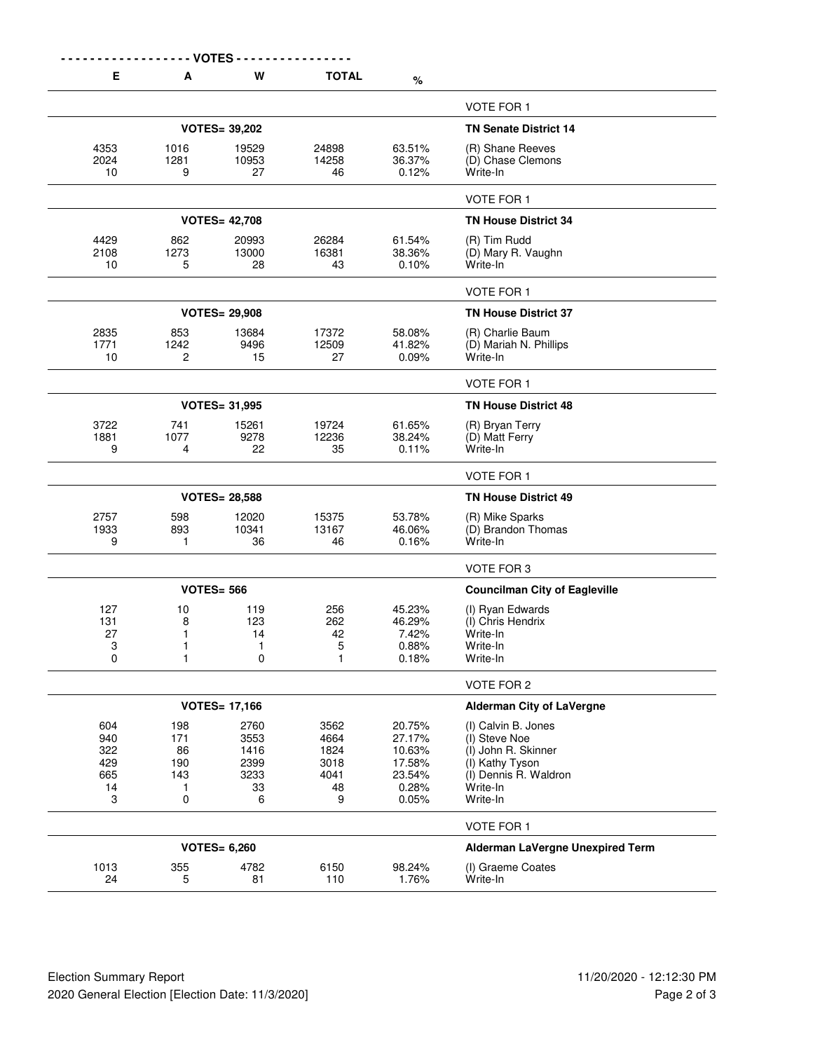| Е            | A                 | <b>VOTES</b><br>W    | <b>TOTAL</b>      | $\%$             |                                       |  |  |
|--------------|-------------------|----------------------|-------------------|------------------|---------------------------------------|--|--|
|              |                   |                      |                   |                  | <b>VOTE FOR 1</b>                     |  |  |
|              |                   | <b>VOTES= 39,202</b> |                   |                  | <b>TN Senate District 14</b>          |  |  |
| 4353         | 1016              | 19529                | 24898             | 63.51%           | (R) Shane Reeves                      |  |  |
| 2024         | 1281              | 10953                | 14258             | 36.37%           | (D) Chase Clemons                     |  |  |
| 10           | 9                 | 27                   | 46                | 0.12%            | Write-In                              |  |  |
|              |                   |                      |                   |                  | <b>VOTE FOR 1</b>                     |  |  |
|              |                   | <b>VOTES= 42,708</b> |                   |                  | <b>TN House District 34</b>           |  |  |
| 4429         | 862               | 20993                | 26284             | 61.54%           | (R) Tim Rudd                          |  |  |
| 2108         | 1273              | 13000<br>28          | 16381<br>43       | 38.36%<br>0.10%  | (D) Mary R. Vaughn<br>Write-In        |  |  |
| 10           | 5                 |                      |                   |                  |                                       |  |  |
|              |                   |                      |                   |                  | <b>VOTE FOR 1</b>                     |  |  |
|              |                   | <b>VOTES= 29,908</b> |                   |                  | <b>TN House District 37</b>           |  |  |
| 2835         | 853               | 13684                | 17372             | 58.08%           | (R) Charlie Baum                      |  |  |
| 1771<br>10   | 1242<br>2         | 9496<br>15           | 12509<br>27       | 41.82%<br>0.09%  | (D) Mariah N. Phillips<br>Write-In    |  |  |
|              |                   |                      |                   |                  |                                       |  |  |
|              |                   |                      |                   |                  | <b>VOTE FOR 1</b>                     |  |  |
|              |                   | <b>VOTES= 31,995</b> |                   |                  | <b>TN House District 48</b>           |  |  |
| 3722<br>1881 | 741<br>1077       | 15261<br>9278        | 19724<br>12236    | 61.65%<br>38.24% | (R) Bryan Terry<br>(D) Matt Ferry     |  |  |
| 9            | 4                 | 22                   | 35                | 0.11%            | Write-In                              |  |  |
|              |                   |                      |                   |                  |                                       |  |  |
|              |                   |                      |                   |                  | VOTE FOR 1                            |  |  |
|              |                   | <b>VOTES= 28,588</b> |                   |                  | <b>TN House District 49</b>           |  |  |
| 2757<br>1933 | 598<br>893        | 12020<br>10341       | 15375<br>13167    | 53.78%<br>46.06% | (R) Mike Sparks<br>(D) Brandon Thomas |  |  |
| 9            | 1                 | 36                   | 46                | 0.16%            | Write-In                              |  |  |
|              |                   |                      |                   |                  | VOTE FOR 3                            |  |  |
|              |                   | <b>VOTES= 566</b>    |                   |                  | <b>Councilman City of Eagleville</b>  |  |  |
| 127          | 10                | 119                  | 256               | 45.23%           | (I) Ryan Edwards                      |  |  |
| 131          | 8                 | 123                  | 262               | 46.29%           | (I) Chris Hendrix                     |  |  |
| 27           | 1                 | 14                   | 42                | 7.42%            | Write-In                              |  |  |
| 3<br>0       | 1<br>$\mathbf{1}$ | 1<br>0               | 5<br>$\mathbf{1}$ | 0.88%<br>0.18%   | Write-In<br>Write-In                  |  |  |
|              |                   |                      |                   |                  |                                       |  |  |
|              |                   |                      |                   |                  | VOTE FOR 2                            |  |  |
|              |                   | <b>VOTES= 17,166</b> |                   |                  | <b>Alderman City of LaVergne</b>      |  |  |
| 604<br>940   | 198<br>171        | 2760<br>3553         | 3562<br>4664      | 20.75%<br>27.17% | (I) Calvin B. Jones<br>(I) Steve Noe  |  |  |
| 322          | 86                | 1416                 | 1824              | 10.63%           | (I) John R. Skinner                   |  |  |
| 429          | 190               | 2399                 | 3018              | 17.58%           | (I) Kathy Tyson                       |  |  |
| 665          | 143               | 3233                 | 4041              | 23.54%           | (I) Dennis R. Waldron                 |  |  |
| 14           | 1                 | 33                   | 48                | 0.28%            | Write-In                              |  |  |
| 3            | 0                 | 6                    | 9                 | 0.05%            | Write-In                              |  |  |
|              |                   |                      |                   |                  | VOTE FOR 1                            |  |  |
|              |                   | <b>VOTES= 6,260</b>  |                   |                  | Alderman LaVergne Unexpired Term      |  |  |
| 1013         | 355               | 4782                 | 6150              | 98.24%           | (I) Graeme Coates                     |  |  |
| 24           | 5                 | 81                   | 110               | 1.76%            | Write-In                              |  |  |